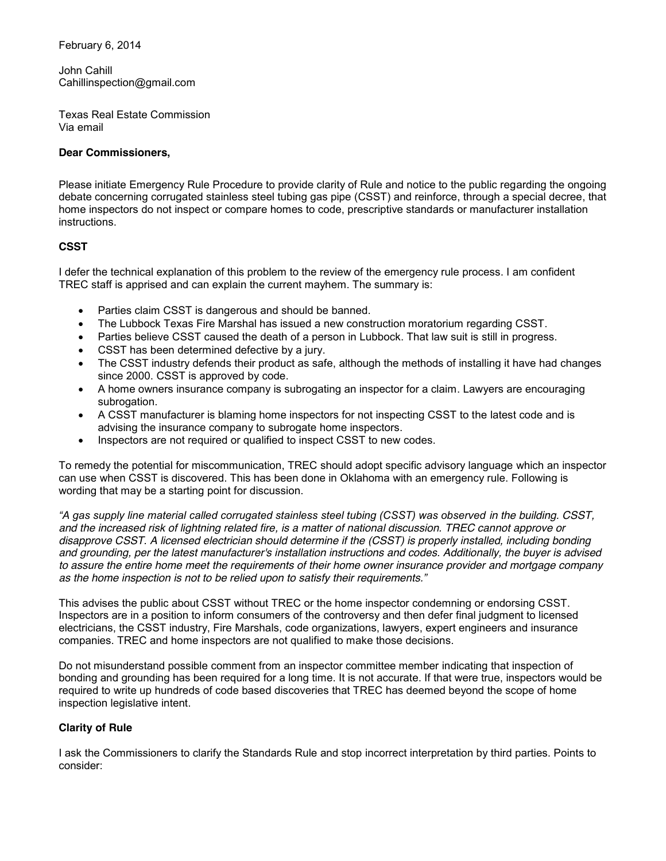February 6, 2014

John Cahill Cahillinspection@gmail.com

Texas Real Estate Commission Via email

## **Dear Commissioners,**

Please initiate Emergency Rule Procedure to provide clarity of Rule and notice to the public regarding the ongoing debate concerning corrugated stainless steel tubing gas pipe (CSST) and reinforce, through a special decree, that home inspectors do not inspect or compare homes to code, prescriptive standards or manufacturer installation instructions.

## **CSST**

I defer the technical explanation of this problem to the review of the emergency rule process. I am confident TREC staff is apprised and can explain the current mayhem. The summary is:

- Parties claim CSST is dangerous and should be banned.
- The Lubbock Texas Fire Marshal has issued a new construction moratorium regarding CSST.
- Parties believe CSST caused the death of a person in Lubbock. That law suit is still in progress.
- CSST has been determined defective by a jury.
- The CSST industry defends their product as safe, although the methods of installing it have had changes since 2000. CSST is approved by code.
- A home owners insurance company is subrogating an inspector for a claim. Lawyers are encouraging subrogation.
- A CSST manufacturer is blaming home inspectors for not inspecting CSST to the latest code and is advising the insurance company to subrogate home inspectors.
- Inspectors are not required or qualified to inspect CSST to new codes.

To remedy the potential for miscommunication, TREC should adopt specific advisory language which an inspector can use when CSST is discovered. This has been done in Oklahoma with an emergency rule. Following is wording that may be a starting point for discussion.

"A gas supply line material called corrugated stainless steel tubing (CSST) was observed in the building. CSST, *and the increased risk of lightning related fire, is a matter of national discussion. TREC cannot approve or disapprove CSST. A licensed electrician should determine if the (CSST) is properly installed, including bonding and grounding, per the latest manufacturer's installation instructions and codes. Additionally, the buyer is advised to assure the entire home meet the requirements of their home owner insurance provider and mortgage company as the home inspection is not to be relied upon to satisfy their requirements."*

This advises the public about CSST without TREC or the home inspector condemning or endorsing CSST. Inspectors are in a position to inform consumers of the controversy and then defer final judgment to licensed electricians, the CSST industry, Fire Marshals, code organizations, lawyers, expert engineers and insurance companies. TREC and home inspectors are not qualified to make those decisions.

Do not misunderstand possible comment from an inspector committee member indicating that inspection of bonding and grounding has been required for a long time. It is not accurate. If that were true, inspectors would be required to write up hundreds of code based discoveries that TREC has deemed beyond the scope of home inspection legislative intent.

## **Clarity of Rule**

I ask the Commissioners to clarify the Standards Rule and stop incorrect interpretation by third parties. Points to consider: